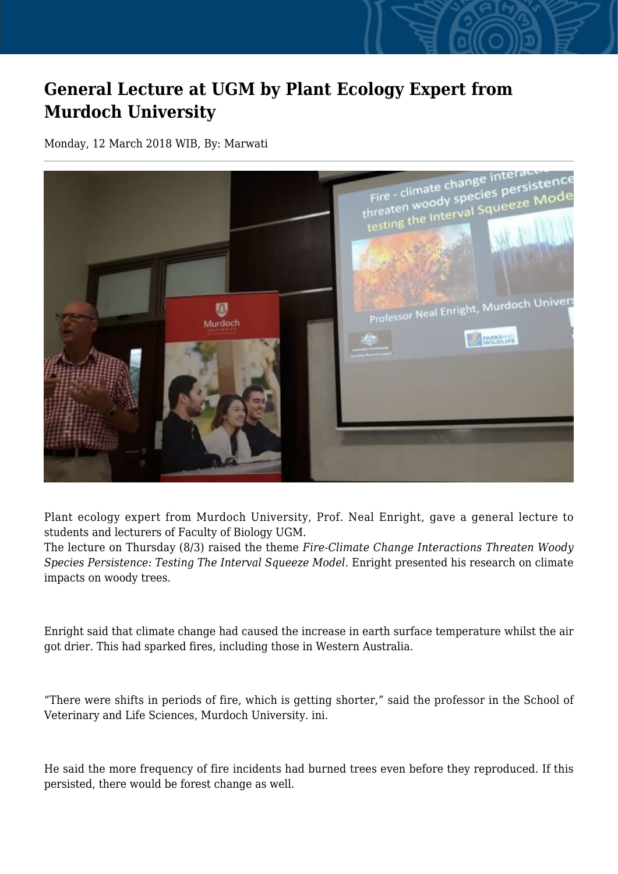## **General Lecture at UGM by Plant Ecology Expert from Murdoch University**

Monday, 12 March 2018 WIB, By: Marwati



Plant ecology expert from Murdoch University, Prof. Neal Enright, gave a general lecture to students and lecturers of Faculty of Biology UGM.

The lecture on Thursday (8/3) raised the theme *Fire-Climate Change Interactions Threaten Woody Species Persistence: Testing The Interval Squeeze Model.* Enright presented his research on climate impacts on woody trees.

Enright said that climate change had caused the increase in earth surface temperature whilst the air got drier. This had sparked fires, including those in Western Australia.

"There were shifts in periods of fire, which is getting shorter," said the professor in the School of Veterinary and Life Sciences, Murdoch University. ini.

He said the more frequency of fire incidents had burned trees even before they reproduced. If this persisted, there would be forest change as well.